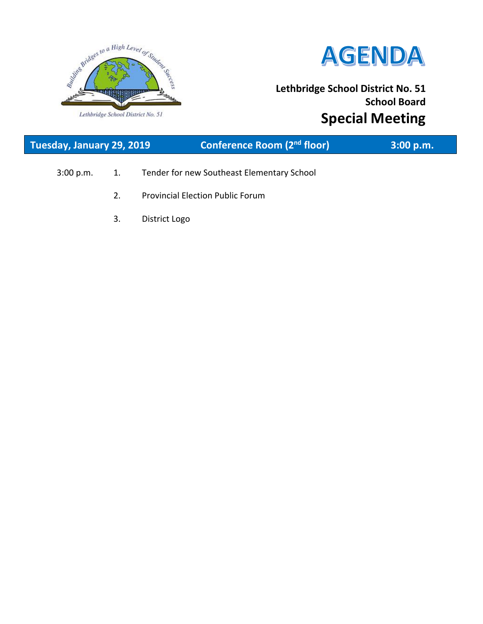



# **Lethbridge School District No. 51 School Board Special Meeting**

| Tuesday, January 29, 2019 | Conference Room (2 <sup>nd</sup> floor)    | 3:00 p.m. |
|---------------------------|--------------------------------------------|-----------|
| 3:00 p.m.                 | Tender for new Southeast Elementary School |           |

- 2. Provincial Election Public Forum
- 3. District Logo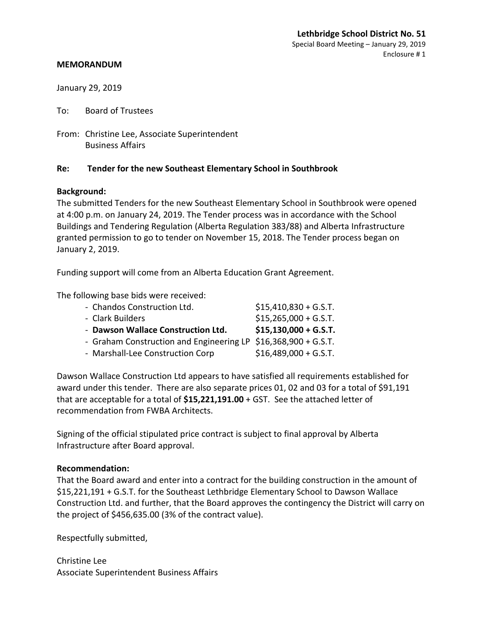Enclosure # 1

#### **MEMORANDUM**

January 29, 2019

To: Board of Trustees

From: Christine Lee, Associate Superintendent Business Affairs

## **Re: Tender for the new Southeast Elementary School in Southbrook**

## **Background:**

The submitted Tenders for the new Southeast Elementary School in Southbrook were opened at 4:00 p.m. on January 24, 2019. The Tender process was in accordance with the School Buildings and Tendering Regulation (Alberta Regulation 383/88) and Alberta Infrastructure granted permission to go to tender on November 15, 2018. The Tender process began on January 2, 2019.

Funding support will come from an Alberta Education Grant Agreement.

The following base bids were received:

| - Chandos Construction Ltd.                                    | $$15,410,830 + G.S.T.$ |
|----------------------------------------------------------------|------------------------|
| - Clark Builders                                               | $$15,265,000 + G.S.T.$ |
| - Dawson Wallace Construction Ltd.                             | $$15,130,000 + G.S.T.$ |
| - Graham Construction and Engineering LP \$16,368,900 + G.S.T. |                        |
| - Marshall-Lee Construction Corp                               | $$16,489,000 + G.S.T.$ |

Dawson Wallace Construction Ltd appears to have satisfied all requirements established for award under this tender. There are also separate prices 01, 02 and 03 for a total of \$91,191 that are acceptable for a total of **\$15,221,191.00** + GST. See the attached letter of recommendation from FWBA Architects.

Signing of the official stipulated price contract is subject to final approval by Alberta Infrastructure after Board approval.

#### **Recommendation:**

That the Board award and enter into a contract for the building construction in the amount of \$15,221,191 + G.S.T. for the Southeast Lethbridge Elementary School to Dawson Wallace Construction Ltd. and further, that the Board approves the contingency the District will carry on the project of \$456,635.00 (3% of the contract value).

Respectfully submitted,

Christine Lee Associate Superintendent Business Affairs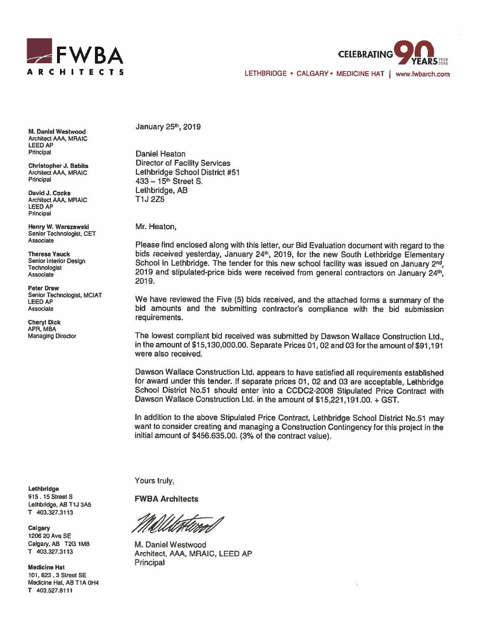

**CELEBRATING** LETHBRIDGE • CALGARY • MEDICINE HAT | www.fwbarch.com

**M. Daniel Westwood Architect AAA, MRAIC LEED AP** Principal

**Christopher J. Babits** Architect AAA, MRAIC Principal

David J. Cocks Architect AAA, MRAIC **LEED AP** Principal

Henry W. Warszawski Senior Technologist, CET Associate

**Theresa Yauck** Senior Interior Design **Technologist** Associate

**Peter Drew** Senior Technologist, MCIAT **LEED AP** Associate

**Cheryl Dick** APR, MBA **Managing Director** 

Lethbridge 915.15 Street S Lethbridge, AB T1J 3A5 T 403.327.3113

Calgary 1206 20 Ave SE Calgary, AB T2G 1M8 T 403.327.3113

**Medicine Hat** 101, 623 . 3 Street SE Medicine Hat, AB T1A 0H4 T 403.527.8111

January 25th, 2019

**Daniel Heaton Director of Facility Services** Lethbridge School District #51  $433 - 15$ <sup>th</sup> Street S. Lethbridge, AB T1J 2Z5

Mr. Heaton.

Please find enclosed along with this letter, our Bid Evaluation document with regard to the bids received yesterday, January 24th, 2019, for the new South Lethbridge Elementary School in Lethbridge. The tender for this new school facility was issued on January 2nd, 2019 and stipulated-price bids were received from general contractors on January 24th, 2019.

We have reviewed the Five (5) bids received, and the attached forms a summary of the bid amounts and the submitting contractor's compliance with the bid submission requirements.

The lowest compliant bid received was submitted by Dawson Wallace Construction Ltd., in the amount of \$15,130,000.00. Separate Prices 01, 02 and 03 for the amount of \$91,191 were also received.

Dawson Wallace Construction Ltd. appears to have satisfied all requirements established for award under this tender. If separate prices 01, 02 and 03 are acceptable, Lethbridge School District No.51 should enter into a CCDC2-2008 Stipulated Price Contract with Dawson Wallace Construction Ltd. in the amount of \$15,221,191.00. + GST.

In addition to the above Stipulated Price Contract, Lethbridge School District No.51 may want to consider creating and managing a Construction Contingency for this project in the initial amount of \$456.635.00. (3% of the contract value).

Yours truly,

**FWBA Architects** 

M. Daniel Westwood Architect, AAA, MRAIC, LEED AP Principal